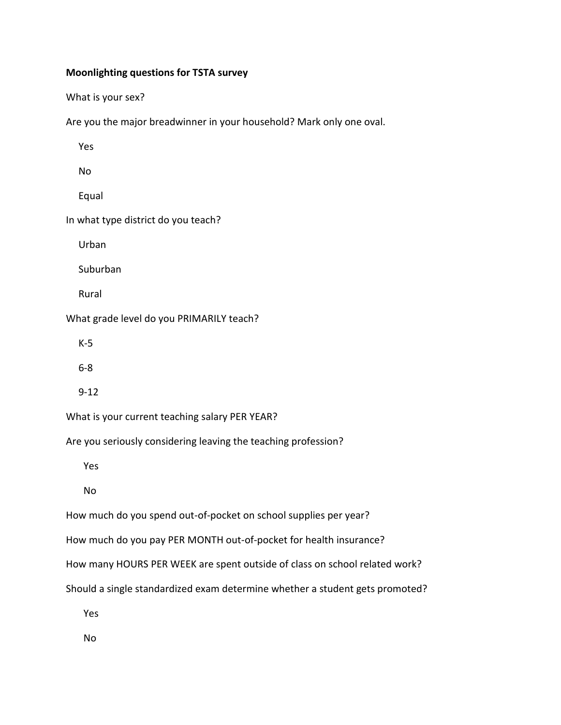## **Moonlighting questions for TSTA survey**

What is your sex?

Are you the major breadwinner in your household? Mark only one oval.

Yes

No

Equal

In what type district do you teach?

Urban

Suburban

Rural

What grade level do you PRIMARILY teach?

K-5

6-8

9-12

What is your current teaching salary PER YEAR?

Are you seriously considering leaving the teaching profession?

Yes

No

How much do you spend out-of-pocket on school supplies per year?

How much do you pay PER MONTH out-of-pocket for health insurance?

How many HOURS PER WEEK are spent outside of class on school related work?

Should a single standardized exam determine whether a student gets promoted?

Yes

No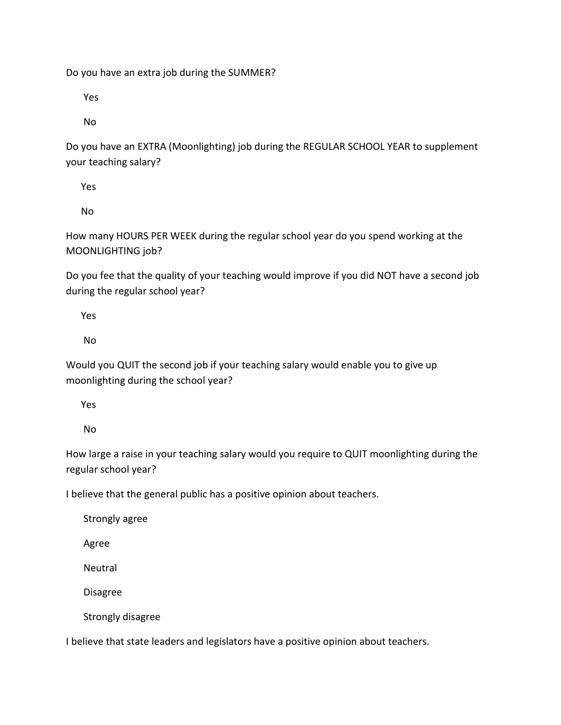Do you have an extra job during the SUMMER?

Yes

No

Do you have an EXTRA (Moonlighting) job during the REGULAR SCHOOL YEAR to supplement your teaching salary?

Yes

No

How many HOURS PER WEEK during the regular school year do you spend working at the MOONLIGHTING job?

Do you fee that the quality of your teaching would improve if you did NOT have a second job during the regular school year?

Yes

No

Would you QUIT the second job if your teaching salary would enable you to give up moonlighting during the school year?

Yes

No

How large a raise in your teaching salary would you require to QUIT moonlighting during the regular school year?

I believe that the general public has a positive opinion about teachers.

Strongly agree

Agree

Neutral

Disagree

Strongly disagree

I believe that state leaders and legislators have a positive opinion about teachers.